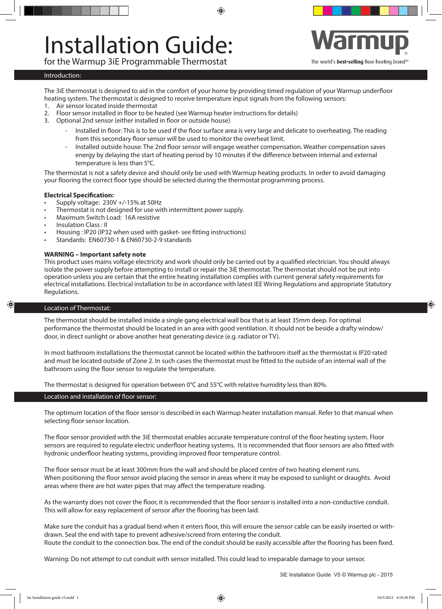# Installation Guide:

for the Warmup 3iE Programmable Thermostat



#### Introduction:

The 3iE thermostat is designed to aid in the comfort of your home by providing timed regulation of your Warmup underfloor heating system. The thermostat is designed to receive temperature input signals from the following sensors:

◈

- 1. Air sensor located inside thermostat
- 2. Floor sensor installed in floor to be heated (see Warmup heater instructions for details)
- 3. Optional 2nd sensor (either installed in floor or outside house)
	- Installed in floor: This is to be used if the floor surface area is very large and delicate to overheating. The reading from this secondary floor sensor will be used to monitor the overheat limit.
	- Installed outside house: The 2nd floor sensor will engage weather compensation. Weather compensation saves energy by delaying the start of heating period by 10 minutes if the difference between internal and external temperature is less than 5°C.

The thermostat is not a safety device and should only be used with Warmup heating products. In order to avoid damaging your flooring the correct floor type should be selected during the thermostat programming process.

# **Electrical Specification:**

- Supply voltage:  $230V +/-15%$  at 50Hz
- Thermostat is not designed for use with intermittent power supply.
- Maximum Switch Load: 16A resistive
- Insulation Class : II
- Housing : IP20 (IP32 when used with gasket- see fitting instructions)
- Standards: EN60730-1 & EN60730-2-9 standards

# **WARNING – Important safety note**

This product uses mains voltage electricity and work should only be carried out by a qualified electrician. You should always isolate the power supply before attempting to install or repair the 3iE thermostat. The thermostat should not be put into operation unless you are certain that the entire heating installation complies with current general safety requirements for electrical installations. Electrical installation to be in accordance with latest IEE Wiring Regulations and appropriate Statutory Regulations.

### Location of Thermostat:

The thermostat should be installed inside a single gang electrical wall box that is at least 35mm deep. For optimal performance the thermostat should be located in an area with good ventilation. It should not be beside a drafty window/ door, in direct sunlight or above another heat generating device (e.g. radiator or TV).

In most bathroom installations the thermostat cannot be located within the bathroom itself as the thermostat is IP20 rated and must be located outside of Zone 2. In such cases the thermostat must be fitted to the outside of an internal wall of the bathroom using the floor sensor to regulate the temperature.

The thermostat is designed for operation between 0°C and 55°C with relative humidity less than 80%.

# Location and installation of floor sensor:

The optimum location of the floor sensor is described in each Warmup heater installation manual. Refer to that manual when selecting floor sensor location.

The floor sensor provided with the 3iE thermostat enables accurate temperature control of the floor heating system. Floor sensors are required to regulate electric underfloor heating systems. It is recommended that floor sensors are also fitted with hydronic underfloor heating systems, providing improved floor temperature control.

The floor sensor must be at least 300mm from the wall and should be placed centre of two heating element runs. When positioning the floor sensor avoid placing the sensor in areas where it may be exposed to sunlight or draughts. Avoid areas where there are hot water pipes that may affect the temperature reading.

As the warranty does not cover the floor, it is recommended that the floor sensor is installed into a non-conductive conduit. This will allow for easy replacement of sensor after the flooring has been laid.

Make sure the conduit has a gradual bend when it enters floor, this will ensure the sensor cable can be easily inserted or withdrawn. Seal the end with tape to prevent adhesive/screed from entering the conduit. Route the conduit to the connection box. The end of the conduit should be easily accessible after the flooring has been fixed.

Warning: Do not attempt to cut conduit with sensor installed. This could lead to irreparable damage to your sensor.

⊕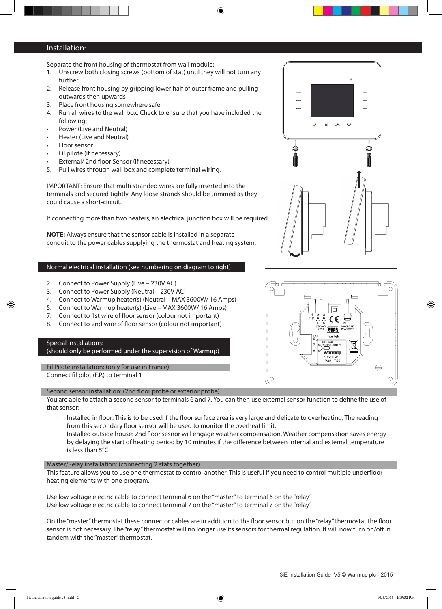⊕

# Installation:

Separate the front housing of thermostat from wall module:

- 1. Unscrew both closing screws (bottom of stat) until they will not turn any further.
- 2. Release front housing by gripping lower half of outer frame and pulling outwards then upwards
- 3. Place front housing somewhere safe
- 4. Run all wires to the wall box. Check to ensure that you have included the following:
- Power (Live and Neutral)
- Heater (Live and Neutral)
- Floor sensor
- Fil pilote (if necessary)
- External/ 2nd floor Sensor (if necessary)
- 5. Pull wires through wall box and complete terminal wiring.

IMPORTANT: Ensure that multi stranded wires are fully inserted into the terminals and secured tightly. Any loose strands should be trimmed as they could cause a short-circuit.

If connecting more than two heaters, an electrical junction box will be required.

**NOTE:** Always ensure that the sensor cable is installed in a separate conduit to the power cables supplying the thermostat and heating system.

# Normal electrical installation (see numbering on diagram to right)

- 2. Connect to Power Supply (Live 230V AC)
- 3. Connect to Power Supply (Neutral 230V AC)
- 4. Connect to Warmup heater(s) (Neutral MAX 3600W/ 16 Amps)
- 5. Connect to Warmup heater(s) (Live MAX 3600W/ 16 Amps)
- 7. Connect to 1st wire of floor sensor (colour not important)
- 8. Connect to 2nd wire of floor sensor (colour not important)

# Special installations:

◈

(should only be performed under the supervision of Warmup)

Fil Pilote installation: (only for use in France) Connect fil pilot (F.P.) to terminal 1

#### Second sensor installation: (2nd floor probe or exterior probe)

You are able to attach a second sensor to terminals 6 and 7. You can then use external sensor function to define the use of that sensor:

- Installed in floor: This is to be used if the floor surface area is very large and delicate to overheating. The reading from this secondary floor sensor will be used to monitor the overheat limit.
- Installed outside house: 2nd floor sesnor will engage weather compensation. Weather compensation saves energy by delaying the start of heating period by 10 minutes if the difference between internal and external temperature is less than 5°C.

#### Master/Relay installation: (connecting 2 stats together)

This feature allows you to use one thermostat to control another. This is useful if you need to control multiple underfloor heating elements with one program.

Use low voltage electric cable to connect terminal 6 on the "master" to terminal 6 on the "relay" Use low voltage electric cable to connect terminal 7 on the "master" to terminal 7 on the "relay"

On the "master" thermostat these connector cables are in addition to the floor sensor but on the "relay" thermostat the floor sensor is not necessary. The "relay" thermostat will no longer use its sensors for thermal regulation. It will now turn on/off in tandem with the "master" thermostat.





◈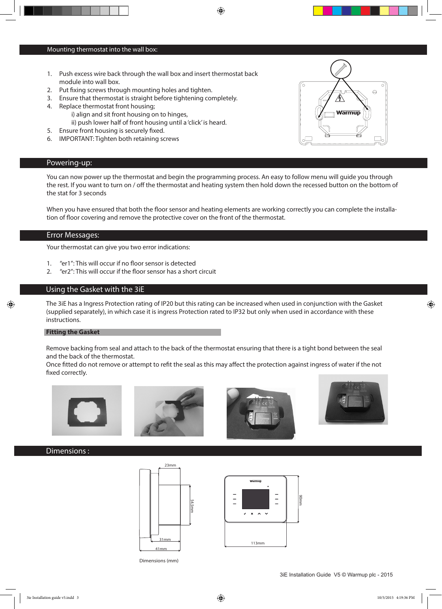#### Mounting thermostat into the wall box:

- 1. Push excess wire back through the wall box and insert thermostat back module into wall box.
- 2. Put fixing screws through mounting holes and tighten.
- 3. Ensure that thermostat is straight before tightening completely.
- 4. Replace thermostat front housing;
	- i) align and sit front housing on to hinges, ii) push lower half of front housing until a 'click' is heard.
- 5. Ensure front housing is securely fixed.
- 6. IMPORTANT: Tighten both retaining screws

# Powering-up:

You can now power up the thermostat and begin the programming process. An easy to follow menu will guide you through the rest. If you want to turn on / off the thermostat and heating system then hold down the recessed button on the bottom of the stat for 3 seconds

⊕

When you have ensured that both the floor sensor and heating elements are working correctly you can complete the installation of floor covering and remove the protective cover on the front of the thermostat.

# Error Messages:

Your thermostat can give you two error indications:

- 1. "er1": This will occur if no floor sensor is detected
- 2. "er2": This will occur if the floor sensor has a short circuit

# Using the Gasket with the 3iE

The 3iE has a Ingress Protection rating of IP20 but this rating can be increased when used in conjunction with the Gasket (supplied separately), in which case it is ingress Protection rated to IP32 but only when used in accordance with these instructions.

## **Fitting the Gasket**

◈

Remove backing from seal and attach to the back of the thermostat ensuring that there is a tight bond between the seal and the back of the thermostat.

Once fitted do not remove or attempt to refit the seal as this may affect the protection against ingress of water if the not fixed correctly.









# Dimensions :



Dimensions (mm)



3iE Installation Guide V5 © Warmup plc - 2015

◈